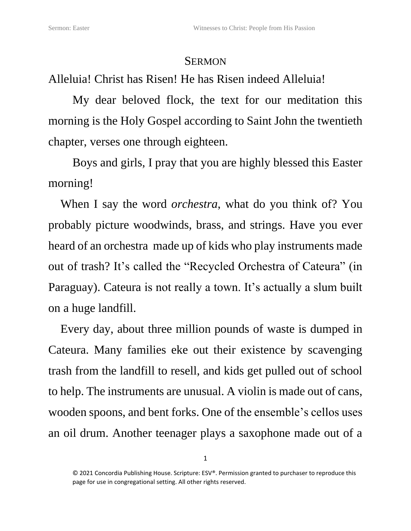## **SERMON**

Alleluia! Christ has Risen! He has Risen indeed Alleluia!

My dear beloved flock, the text for our meditation this morning is the Holy Gospel according to Saint John the twentieth chapter, verses one through eighteen.

Boys and girls, I pray that you are highly blessed this Easter morning!

When I say the word *orchestra*, what do you think of? You probably picture woodwinds, brass, and strings. Have you ever heard of an orchestra made up of kids who play instruments made out of trash? It's called the "Recycled Orchestra of Cateura" (in Paraguay). [Cateura](http://www.unicef.org/childsurvival/paraguay_56594.html) is not really a town. It's actually a slum built on a huge landfill.

Every day, about three million pounds of waste is dumped in Cateura. Many families eke out their existence by scavenging trash from the landfill to resell, and kids get pulled out of school to help. The instruments are unusual. A violin is made out of cans, wooden spoons, and bent forks. One of the ensemble's cellos uses an oil drum. Another teenager plays a saxophone made out of a

<sup>© 2021</sup> Concordia Publishing House. Scripture: ESV®. Permission granted to purchaser to reproduce this page for use in congregational setting. All other rights reserved.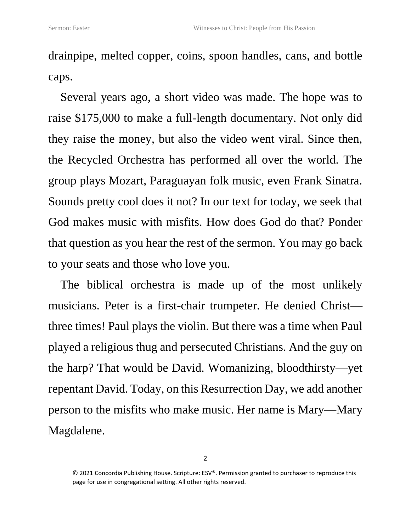drainpipe, melted copper, coins, spoon handles, cans, and bottle caps.

Several years ago, a short video was made. The hope was to raise \$175,000 to make a full-length documentary. Not only did they raise the money, but also the video went viral. Since then, the Recycled Orchestra has performed all over the world. The group plays Mozart, Paraguayan folk music, even Frank Sinatra. Sounds pretty cool does it not? In our text for today, we seek that God makes music with misfits. How does God do that? Ponder that question as you hear the rest of the sermon. You may go back to your seats and those who love you.

The biblical orchestra is made up of the most unlikely musicians. Peter is a first-chair trumpeter. He denied Christ three times! Paul plays the violin. But there was a time when Paul played a religious thug and persecuted Christians. And the guy on the harp? That would be David. Womanizing, bloodthirsty—yet repentant David. Today, on this Resurrection Day, we add another person to the misfits who make music. Her name is Mary—Mary Magdalene.

<sup>© 2021</sup> Concordia Publishing House. Scripture: ESV®. Permission granted to purchaser to reproduce this page for use in congregational setting. All other rights reserved.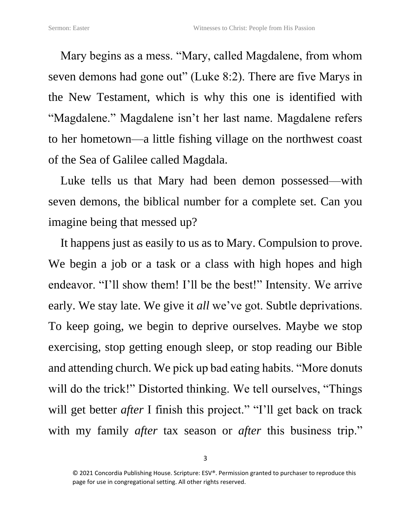Mary begins as a mess. "Mary, called Magdalene, from whom seven demons had gone out" (Luke 8:2). There are five Marys in the New Testament, which is why this one is identified with "Magdalene." Magdalene isn't her last name. Magdalene refers to her hometown—a little fishing village on the northwest coast of the Sea of Galilee called Magdala.

Luke tells us that Mary had been demon possessed—with seven demons, the biblical number for a complete set. Can you imagine being that messed up?

It happens just as easily to us as to Mary. Compulsion to prove. We begin a job or a task or a class with high hopes and high endeavor. "I'll show them! I'll be the best!" Intensity. We arrive early. We stay late. We give it *all* we've got. Subtle deprivations. To keep going, we begin to deprive ourselves. Maybe we stop exercising, stop getting enough sleep, or stop reading our Bible and attending church. We pick up bad eating habits. "More donuts will do the trick!" Distorted thinking. We tell ourselves, "Things will get better *after* I finish this project." "I'll get back on track with my family *after* tax season or *after* this business trip."

<sup>© 2021</sup> Concordia Publishing House. Scripture: ESV®. Permission granted to purchaser to reproduce this page for use in congregational setting. All other rights reserved.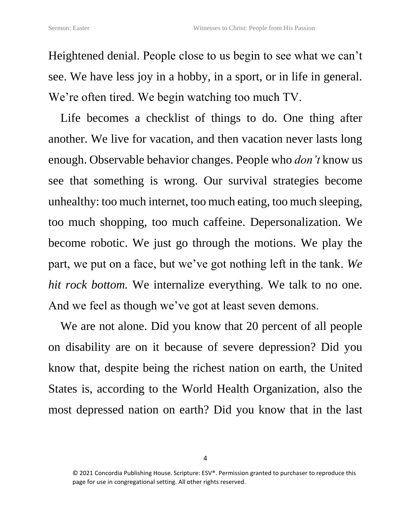Heightened denial. People close to us begin to see what we can't see. We have less joy in a hobby, in a sport, or in life in general. We're often tired. We begin watching too much TV.

Life becomes a checklist of things to do. One thing after another. We live for vacation, and then vacation never lasts long enough. Observable behavior changes. People who *don't* know us see that something is wrong. Our survival strategies become unhealthy: too much internet, too much eating, too much sleeping, too much shopping, too much caffeine. Depersonalization. We become robotic. We just go through the motions. We play the part, we put on a face, but we've got nothing left in the tank. *We hit rock bottom.* We internalize everything. We talk to no one. And we feel as though we've got at least seven demons.

We are not alone. Did you know that 20 percent of all people on disability are on it because of severe depression? Did you know that, despite being the richest nation on earth, the United States is, according to the World Health Organization, also the most depressed nation on earth? Did you know that in the last

<sup>© 2021</sup> Concordia Publishing House. Scripture: ESV®. Permission granted to purchaser to reproduce this page for use in congregational setting. All other rights reserved.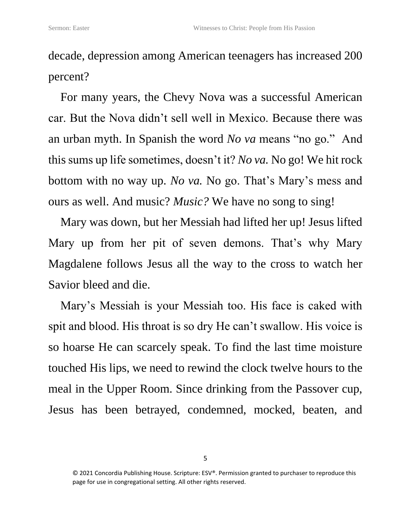decade, depression among American teenagers has increased 200 percent?

For many years, the Chevy Nova was a successful American car. But the Nova didn't sell well in Mexico. Because there was an urban myth. In Spanish the word *No va* means "no go." And this sums up life sometimes, doesn't it? *No va.* No go! We hit rock bottom with no way up. *No va.* No go. That's Mary's mess and ours as well. And music? *Music?* We have no song to sing!

Mary was down, but her Messiah had lifted her up! Jesus lifted Mary up from her pit of seven demons. That's why Mary Magdalene follows Jesus all the way to the cross to watch her Savior bleed and die.

Mary's Messiah is your Messiah too. His face is caked with spit and blood. His throat is so dry He can't swallow. His voice is so hoarse He can scarcely speak. To find the last time moisture touched His lips, we need to rewind the clock twelve hours to the meal in the Upper Room. Since drinking from the Passover cup, Jesus has been betrayed, condemned, mocked, beaten, and

<sup>© 2021</sup> Concordia Publishing House. Scripture: ESV®. Permission granted to purchaser to reproduce this page for use in congregational setting. All other rights reserved.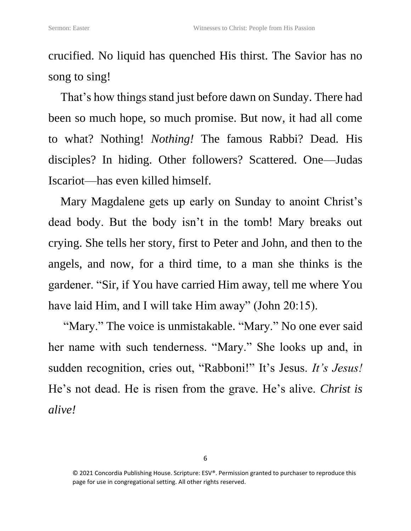crucified. No liquid has quenched His thirst. The Savior has no song to sing!

That's how things stand just before dawn on Sunday. There had been so much hope, so much promise. But now, it had all come to what? Nothing! *Nothing!* The famous Rabbi? Dead. His disciples? In hiding. Other followers? Scattered. One—Judas Iscariot—has even killed himself.

Mary Magdalene gets up early on Sunday to anoint Christ's dead body. But the body isn't in the tomb! Mary breaks out crying. She tells her story, first to Peter and John, and then to the angels, and now, for a third time, to a man she thinks is the gardener. "Sir, if You have carried Him away, tell me where You have laid Him, and I will take Him away" (John 20:15).

"Mary." The voice is unmistakable. "Mary." No one ever said her name with such tenderness. "Mary." She looks up and, in sudden recognition, cries out, "Rabboni!" It's Jesus. *It's Jesus!* He's not dead. He is risen from the grave. He's alive. *Christ is alive!*

<sup>© 2021</sup> Concordia Publishing House. Scripture: ESV®. Permission granted to purchaser to reproduce this page for use in congregational setting. All other rights reserved.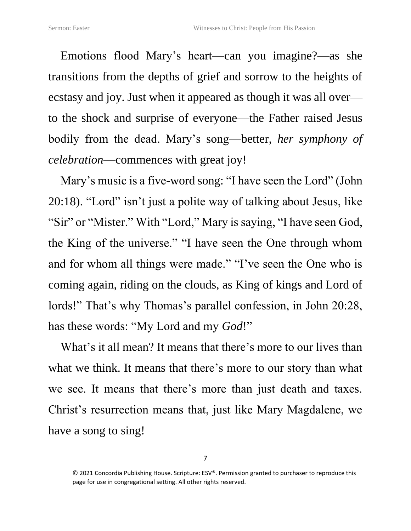Emotions flood Mary's heart—can you imagine?—as she transitions from the depths of grief and sorrow to the heights of ecstasy and joy. Just when it appeared as though it was all over to the shock and surprise of everyone—the Father raised Jesus bodily from the dead. Mary's song—better, *her symphony of celebration*—commences with great joy!

Mary's music is a five-word song: "I have seen the Lord" (John 20:18). "Lord" isn't just a polite way of talking about Jesus, like "Sir" or "Mister." With "Lord," Mary is saying, "I have seen God, the King of the universe." "I have seen the One through whom and for whom all things were made." "I've seen the One who is coming again, riding on the clouds, as King of kings and Lord of lords!" That's why Thomas's parallel confession, in John 20:28, has these words: "My Lord and my *God*!"

What's it all mean? It means that there's more to our lives than what we think. It means that there's more to our story than what we see. It means that there's more than just death and taxes. Christ's resurrection means that, just like Mary Magdalene, we have a song to sing!

<sup>© 2021</sup> Concordia Publishing House. Scripture: ESV®. Permission granted to purchaser to reproduce this page for use in congregational setting. All other rights reserved.